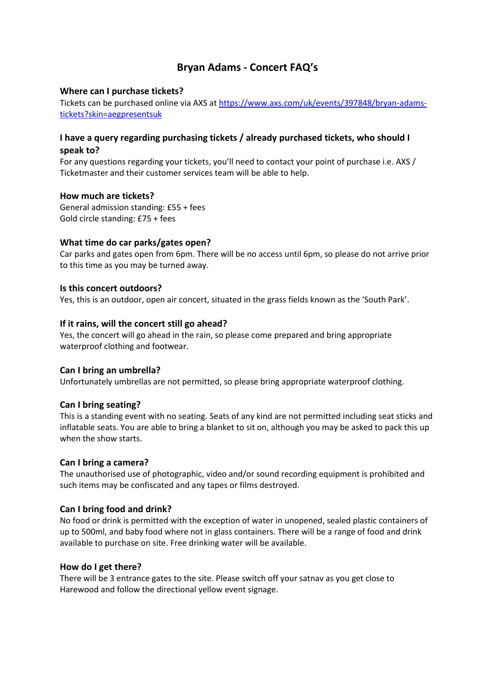# **Bryan Adams - Concert FAQ's**

# **Where can I purchase tickets?**

Tickets can be purchased online via AXS at [https://www.axs.com/uk/events/397848/bryan-adams](https://www.axs.com/uk/events/397848/bryan-adams-tickets?skin=aegpresentsuk)[tickets?skin=aegpresentsuk](https://www.axs.com/uk/events/397848/bryan-adams-tickets?skin=aegpresentsuk)

## **I have a query regarding purchasing tickets / already purchased tickets, who should I speak to?**

For any questions regarding your tickets, you'll need to contact your point of purchase i.e. AXS / Ticketmaster and their customer services team will be able to help.

## **How much are tickets?**

General admission standing: £55 + fees Gold circle standing: £75 + fees

## **What time do car parks/gates open?**

Car parks and gates open from 6pm. There will be no access until 6pm, so please do not arrive prior to this time as you may be turned away.

#### **Is this concert outdoors?**

Yes, this is an outdoor, open air concert, situated in the grass fields known as the 'South Park'.

## **If it rains, will the concert still go ahead?**

Yes, the concert will go ahead in the rain, so please come prepared and bring appropriate waterproof clothing and footwear.

#### **Can I bring an umbrella?**

Unfortunately umbrellas are not permitted, so please bring appropriate waterproof clothing.

# **Can I bring seating?**

This is a standing event with no seating. Seats of any kind are not permitted including seat sticks and inflatable seats. You are able to bring a blanket to sit on, although you may be asked to pack this up when the show starts.

#### **Can I bring a camera?**

The unauthorised use of photographic, video and/or sound recording equipment is prohibited and such items may be confiscated and any tapes or films destroyed.

#### **Can I bring food and drink?**

No food or drink is permitted with the exception of water in unopened, sealed plastic containers of up to 500ml, and baby food where not in glass containers. There will be a range of food and drink available to purchase on site. Free drinking water will be available.

#### **How do I get there?**

There will be 3 entrance gates to the site. Please switch off your satnav as you get close to Harewood and follow the directional yellow event signage.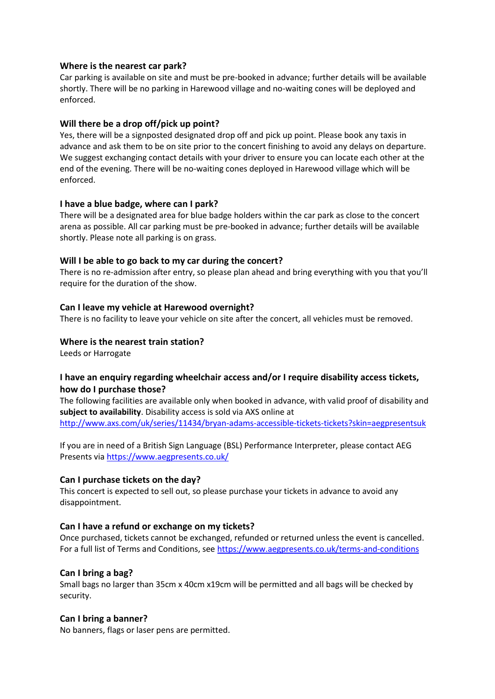## **Where is the nearest car park?**

Car parking is available on site and must be pre-booked in advance; further details will be available shortly. There will be no parking in Harewood village and no-waiting cones will be deployed and enforced.

## **Will there be a drop off/pick up point?**

Yes, there will be a signposted designated drop off and pick up point. Please book any taxis in advance and ask them to be on site prior to the concert finishing to avoid any delays on departure. We suggest exchanging contact details with your driver to ensure you can locate each other at the end of the evening. There will be no-waiting cones deployed in Harewood village which will be enforced.

## **I have a blue badge, where can I park?**

There will be a designated area for blue badge holders within the car park as close to the concert arena as possible. All car parking must be pre-booked in advance; further details will be available shortly. Please note all parking is on grass.

## **Will I be able to go back to my car during the concert?**

There is no re-admission after entry, so please plan ahead and bring everything with you that you'll require for the duration of the show.

## **Can I leave my vehicle at Harewood overnight?**

There is no facility to leave your vehicle on site after the concert, all vehicles must be removed.

## **Where is the nearest train station?**

Leeds or Harrogate

# **I have an enquiry regarding wheelchair access and/or I require disability access tickets, how do I purchase those?**

The following facilities are available only when booked in advance, with valid proof of disability and **subject to availability**. Disability access is sold via AXS online at <http://www.axs.com/uk/series/11434/bryan-adams-accessible-tickets-tickets?skin=aegpresentsuk>

If you are in need of a British Sign Language (BSL) Performance Interpreter, please contact AEG Presents via<https://www.aegpresents.co.uk/>

# **Can I purchase tickets on the day?**

This concert is expected to sell out, so please purchase your tickets in advance to avoid any disappointment.

#### **Can I have a refund or exchange on my tickets?**

Once purchased, tickets cannot be exchanged, refunded or returned unless the event is cancelled. For a full list of Terms and Conditions, see<https://www.aegpresents.co.uk/terms-and-conditions>

#### **Can I bring a bag?**

Small bags no larger than 35cm x 40cm x19cm will be permitted and all bags will be checked by security.

#### **Can I bring a banner?**

No banners, flags or laser pens are permitted.